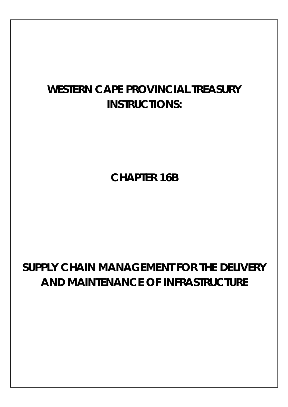# **WESTERN CAPE PROVINCIAL TREASURY INSTRUCTIONS:**

**CHAPTER 16B**

# **SUPPLY CHAIN MANAGEMENT FOR THE DELIVERY AND MAINTENANCE OF INFRASTRUCTURE**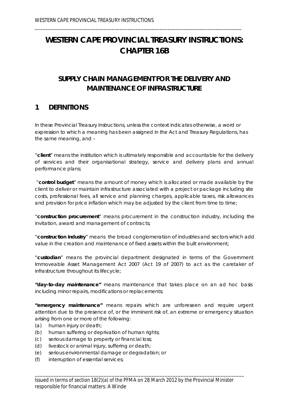# **WESTERN CAPE PROVINCIAL TREASURY INSTRUCTIONS: CHAPTER 16B**

\_\_\_\_\_\_\_\_\_\_\_\_\_\_\_\_\_\_\_\_\_\_\_\_\_\_\_\_\_\_\_\_\_\_\_\_\_\_\_\_\_\_\_\_\_\_\_\_\_\_\_\_\_\_\_\_\_\_\_\_\_\_\_\_\_\_\_\_\_\_\_\_\_\_\_\_\_\_

# **SUPPLY CHAIN MANAGEMENT FOR THE DELIVERY AND MAINTENANCE OF INFRASTRUCTURE**

### **1 DEFINITIONS**

In these Provincial Treasury Instructions, unless the context indicates otherwise, a word or expression to which a meaning has been assigned in the Act and Treasury Regulations, has the same meaning, and –

"**client**" means the institution which is ultimately responsible and accountable for the delivery of services and their organisational strategy, service and delivery plans and annual performance plans;

"**control budget**" means the amount of money which is allocated or made available by the client to deliver or maintain infrastructure associated with a project or package including site costs, professional fees, all service and planning charges, applicable taxes, risk allowances and provision for price inflation which may be adjusted by the client from time to time;

"**construction procurement**" means procurement in the construction industry, including the invitation, award and management of contracts;

"**construction industry**" means the broad conglomeration of industries and sectors which add value in the creation and maintenance of fixed assets within the built environment;

"**custodian**" means the provincial department designated in terms of the Government Immoveable Asset Management Act 2007 (Act 19 of 2007) to act as the caretaker of infrastructure throughout its lifecycle;

**"day-to-day maintenance"** means maintenance that takes place on an *ad hoc* basis including minor repairs, modifications or replacements;

**"emergency maintenance"** means repairs which are unforeseen and require urgent attention due to the presence of, or the imminent risk of, an extreme or emergency situation arising from one or more of the following:

- (a) human injury or death;
- (b) human suffering or deprivation of human rights;
- (c) serious damage to property or financial loss;
- (d) livestock or animal injury, suffering or death;
- (e) serious environmental damage or degradation; or
- (f) interruption of essential services;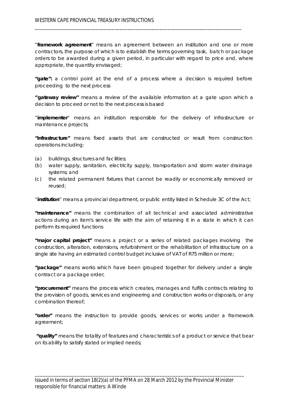"**framework agreement**" means an agreement between an institution and one or more contractors, the purpose of which is to establish the terms governing task, batch or package orders to be awarded during a given period, in particular with regard to price and, where appropriate, the quantity envisaged;

\_\_\_\_\_\_\_\_\_\_\_\_\_\_\_\_\_\_\_\_\_\_\_\_\_\_\_\_\_\_\_\_\_\_\_\_\_\_\_\_\_\_\_\_\_\_\_\_\_\_\_\_\_\_\_\_\_\_\_\_\_\_\_\_\_\_\_\_\_\_\_\_\_\_\_\_\_\_

**"gate":** a control point at the end of a process where a decision is required before proceeding to the next process

**''gateway review''** means a review of the available information at a gate upon which a decision to proceed or not to the next process is based

"**implementer**" means an institution responsible for the delivery of infrastructure or maintenance projects;

**"infrastructure"** means fixed assets that are constructed or result from construction operations including:

- (a) buildings, structures and facilities;
- (b) water supply, sanitation, electricity supply, transportation and storm water drainage systems; and
- (c) the related permanent fixtures that cannot be readily or economically removed or reused;

"**institution**" means a provincial department, or public entity listed in Schedule 3C of the Act;

**"maintenance"** means the combination of all technical and associated administrative actions during an item's service life with the aim of retaining it in a state in which it can perform its required functions

**"major capital project"** means a project or a series of related packages involving the construction, alteration, extensions, refurbishment or the rehabilitation of infrastructure on a single site having an estimated control budget inclusive of VAT of R75 million or more;

**"package"** means works which have been grouped together for delivery under a single contract or a package order;

**"procurement"** means the process which creates, manages and fulfils contracts relating to the provision of goods, services and engineering and construction works or disposals, or any combination thereof;

**"order"** means the instruction to provide goods, services or works under a framework agreement;

**"quality"** means the totality of features and characteristics of a product or service that bear on its ability to satisfy stated or implied needs;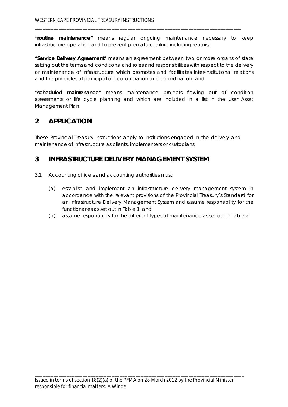**"routine maintenance"** means regular ongoing maintenance necessary to keep infrastructure operating and to prevent premature failure including repairs;

\_\_\_\_\_\_\_\_\_\_\_\_\_\_\_\_\_\_\_\_\_\_\_\_\_\_\_\_\_\_\_\_\_\_\_\_\_\_\_\_\_\_\_\_\_\_\_\_\_\_\_\_\_\_\_\_\_\_\_\_\_\_\_\_\_\_\_\_\_\_\_\_\_\_\_\_\_\_

"**Service Delivery Agreement**" means an agreement between two or more organs of state setting out the terms and conditions, and roles and responsibilities with respect to the delivery or maintenance of infrastructure which promotes and facilitates inter-institutional relations and the principles of participation, co-operation and co-ordination; and

**"scheduled maintenance"** means maintenance projects flowing out of condition assessments or life cycle planning and which are included in a list in the User Asset Management Plan.

# **2 APPLICATION**

These Provincial Treasury Instructions apply to institutions engaged in the delivery and maintenance of infrastructure as clients, implementers or custodians.

# **3 INFRASTRUCTURE DELIVERY MANAGEMENT SYSTEM**

- 3.1 Accounting officers and accounting authorities must:
	- (a) establish and implement an infrastructure delivery management system in accordance with the relevant provisions of the Provincial Treasury's Standard for an Infrastructure Delivery Management System and assume responsibility for the functionaries as set out in Table 1; and
	- (b) assume responsibility for the different types of maintenance as set out in Table 2.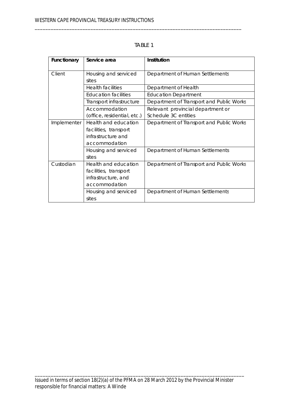| <b>Functionary</b> | Service area                  | <b>Institution</b>                       |  |  |
|--------------------|-------------------------------|------------------------------------------|--|--|
| Client             | Housing and serviced<br>sites | Department of Human Settlements          |  |  |
|                    | <b>Health facilities</b>      | Department of Health                     |  |  |
|                    | Education facilities          | <b>Education Department</b>              |  |  |
|                    | Transport infrastructure      | Department of Transport and Public Works |  |  |
|                    | Accommodation                 | Relevant provincial department or        |  |  |
|                    | (office, residential, etc.)   | Schedule 3C entities                     |  |  |
| Implementer        | Health and education          | Department of Transport and Public Works |  |  |
|                    | facilities, transport         |                                          |  |  |
|                    | infrastructure and            |                                          |  |  |
|                    | accommodation                 |                                          |  |  |
|                    | Housing and serviced          | Department of Human Settlements          |  |  |
|                    | sites                         |                                          |  |  |
| Custodian          | Health and education          | Department of Transport and Public Works |  |  |
|                    | facilities, transport         |                                          |  |  |
|                    | infrastructure, and           |                                          |  |  |
|                    | accommodation                 |                                          |  |  |
|                    | Housing and serviced          | Department of Human Settlements          |  |  |
|                    | sites                         |                                          |  |  |

TABLE 1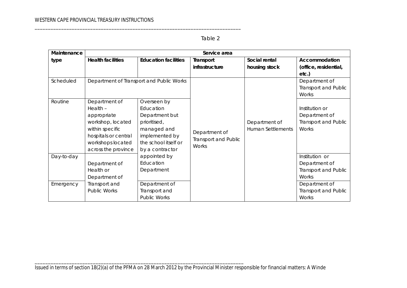#### Table 2

| Maintenance | Service area                             |                             |                             |                          |                             |  |  |
|-------------|------------------------------------------|-----------------------------|-----------------------------|--------------------------|-----------------------------|--|--|
| type        | <b>Health facilities</b>                 | <b>Education facilities</b> | Transport                   | Social rental            | <b>Accommodation</b>        |  |  |
|             |                                          |                             | infrastructure              | housing stock            | (office, residential,       |  |  |
|             |                                          |                             |                             |                          | $etc.$ )                    |  |  |
| Scheduled   | Department of Transport and Public Works |                             |                             |                          | Department of               |  |  |
|             |                                          |                             |                             |                          | <b>Transport and Public</b> |  |  |
|             |                                          |                             |                             |                          | <b>Works</b>                |  |  |
| Routine     | Department of                            | Overseen by                 |                             |                          |                             |  |  |
|             | Health -                                 | Education                   |                             |                          | Institution or              |  |  |
|             | appropriate                              | Department but              |                             |                          | Department of               |  |  |
|             | workshop, located                        | prioritised,                |                             | Department of            | <b>Transport and Public</b> |  |  |
|             | within specific                          | managed and                 | Department of               | <b>Human Settlements</b> | <b>Works</b>                |  |  |
|             | hospitals or central                     | implemented by              | <b>Transport and Public</b> |                          |                             |  |  |
|             | workshops located                        | the school itself or        | Works                       |                          |                             |  |  |
|             | across the province                      | by a contractor             |                             |                          |                             |  |  |
| Day-to-day  |                                          | appointed by                |                             |                          | Institution or              |  |  |
|             | Department of                            | Education                   |                             |                          | Department of               |  |  |
|             | Health or                                | Department                  |                             |                          | <b>Transport and Public</b> |  |  |
|             | Department of                            |                             |                             |                          | <b>Works</b>                |  |  |
| Emergency   | Transport and                            | Department of               |                             |                          | Department of               |  |  |
|             | <b>Public Works</b>                      | Transport and               |                             |                          | <b>Transport and Public</b> |  |  |
|             |                                          | <b>Public Works</b>         |                             |                          | <b>Works</b>                |  |  |

Issued in terms of section 18(2)(a) of the PFMA on 28 March 2012 by the Provincial Minister responsible for financial matters: A Winde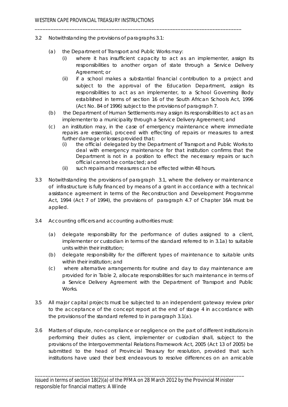- 3.2 Notwithstanding the provisions of paragraphs 3.1:
	- (a) the Department of Transport and Public Works may:
		- (i) where it has insufficient capacity to act as an implementer, assign its responsibilities to another organ of state through a Service Delivery Agreement; or

- (ii) if a school makes a substantial financial contribution to a project and subject to the approval of the Education Department, assign its responsibilities to act as an implementer, to a School Governing Body established in terms of section 16 of the South African Schools Act, 1996 (Act No. 84 of 1996) subject to the provisions of paragraph 7.
- (b) the Department of Human Settlements may assign its responsibilities to act as an implementer to a municipality through a Service Delivery Agreement; and
- (c) an institution may, in the case of emergency maintenance where immediate repairs are essential, proceed with effecting of repairs or measures to arrest further damage or losses provided that:
	- (i) the official delegated by the Department of Transport and Public Works to deal with emergency maintenance for that institution confirms that the Department is not in a position to effect the necessary repairs or such official cannot be contacted; and
	- (ii) such repairs and measures can be effected within 48 hours.
- 3.3 Notwithstanding the provisions of paragraph 3.1, where the delivery or maintenance of infrastructure is fully financed by means of a grant in accordance with a technical assistance agreement in terms of the Reconstruction and Development Programme Act, 1994 (Act 7 of 1994), the provisions of paragraph 4.7 of Chapter 16A must be applied.
- 3.4 Accounting officers and accounting authorities must:
	- (a) delegate responsibility for the performance of duties assigned to a client, implementer or custodian in terms of the standard referred to in 3.1a) to suitable units within their institution;
	- (b) delegate responsibility for the different types of maintenance to suitable units within their institution; and
	- (c) where alternative arrangements for routine and day to day maintenance are provided for in Table 2, allocate responsibilities for such maintenance in terms of a Service Delivery Agreement with the Department of Transport and Public Works.
- 3.5 All major capital projects must be subjected to an independent gateway review prior to the acceptance of the concept report at the end of stage 4 in accordance with the provisions of the standard referred to in paragraph 3.1(a).
- 3.6 Matters of dispute, non-compliance or negligence on the part of different institutions in performing their duties as client, implementer or custodian shall, subject to the provisions of the Intergovernmental Relations Framework Act, 2005 (Act 13 of 2005) be submitted to the head of Provincial Treasury for resolution, provided that such institutions have used their best endeavours to resolve differences on an amicable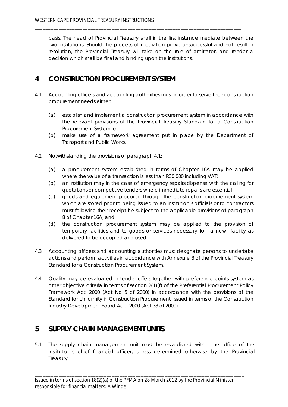basis. The head of Provincial Treasury shall in the first instance mediate between the two institutions. Should the process of mediation prove unsuccessful and not result in resolution, the Provincial Treasury will take on the role of arbitrator, and render a decision which shall be final and binding upon the institutions.

\_\_\_\_\_\_\_\_\_\_\_\_\_\_\_\_\_\_\_\_\_\_\_\_\_\_\_\_\_\_\_\_\_\_\_\_\_\_\_\_\_\_\_\_\_\_\_\_\_\_\_\_\_\_\_\_\_\_\_\_\_\_\_\_\_\_\_\_\_\_\_\_\_\_\_\_\_\_

# **4 CONSTRUCTION PROCUREMENT SYSTEM**

- 4.1 Accounting officers and accounting authorities must in order to serve their construction procurement needs either:
	- (a) establish and implement a construction procurement system in accordance with the relevant provisions of the Provincial Treasury Standard for a Construction Procurement System; or
	- (b) make use of a framework agreement put in place by the Department of Transport and Public Works.
- 4.2 Notwithstanding the provisions of paragraph 4.1:
	- (a) a procurement system established in terms of Chapter 16A may be applied where the value of a transaction is less than R30 000 including VAT;
	- (b) an institution may in the case of emergency repairs dispense with the calling for quotations or competitive tenders where immediate repairs are essential;
	- (c) goods and equipment procured through the construction procurement system which are stored prior to being issued to an institution's officials or to contractors must following their receipt be subject to the applicable provisions of paragraph 8 of Chapter 16A; and
	- (d) the construction procurement system may be applied to the provision of temporary facilities and to goods or services necessary for a new facility as delivered to be occupied and used
- 4.3 Accounting officers and accounting authorities must designate persons to undertake actions and perform activities in accordance with Annexure B of the Provincial Treasury Standard for a Construction Procurement System.
- 4.4 Quality may be evaluated in tender offers together with preference points system as other objective criteria in terms of section 2(1)(f) of the Preferential Procurement Policy Framework Act, 2000 (Act No 5 of 2000) in accordance with the provisions of the Standard for Uniformity in Construction Procurement issued in terms of the Construction Industry Development Board Act, 2000 (Act 38 of 2000).

# **5 SUPPLY CHAIN MANAGEMENT UNITS**

5.1 The supply chain management unit must be established within the office of the institution's chief financial officer, unless determined otherwise by the Provincial Treasury.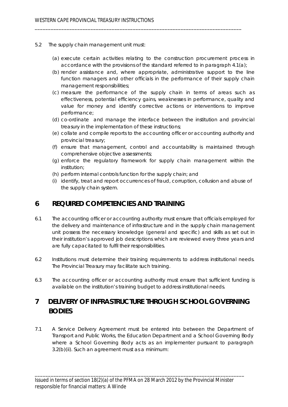- 5.2 The supply chain management unit must:
	- (a) execute certain activities relating to the construction procurement process in accordance with the provisions of the standard referred to in paragraph 4.1(a);

- (b) render assistance and, where appropriate, administrative support to the line function managers and other officials in the performance of their supply chain management responsibilities;
- (c) measure the performance of the supply chain in terms of areas such as effectiveness, potential efficiency gains, weaknesses in performance, quality and value for money and identify corrective actions or interventions to improve performance;
- (d) co-ordinate and manage the interface between the institution and provincial treasury in the implementation of these instructions;
- (e) collate and compile reports to the accounting officer or accounting authority and provincial treasury;
- (f) ensure that management, control and accountability is maintained through comprehensive objective assessments;
- (g) enforce the regulatory framework for supply chain management within the institution;
- (h) perform internal controls function for the supply chain; and
- (i) identify, treat and report occurrences of fraud, corruption, collusion and abuse of the supply chain system.

### **6 REQUIRED COMPETENCIES AND TRAINING**

- 6.1 The accounting officer or accounting authority must ensure that officials employed for the delivery and maintenance of infrastructure and in the supply chain management unit possess the necessary knowledge (general and specific) and skills as set out in their institution's approved job descriptions which are reviewed every three years and are fully capacitated to fulfil their responsibilities.
- 6.2 Institutions must determine their training requirements to address institutional needs. The Provincial Treasury may facilitate such training.
- 6.3 The accounting officer or accounting authority must ensure that sufficient funding is available on the institution's training budget to address institutional needs.

# **7 DELIVERY OF INFRASTRUCTURE THROUGH SCHOOL GOVERNING BODIES**

7.1 A Service Delivery Agreement must be entered into between the Department of Transport and Public Works, the Education Department and a School Governing Body where a School Governing Body acts as an implementer pursuant to paragraph 3.2(b)(ii). Such an agreement must as a minimum: